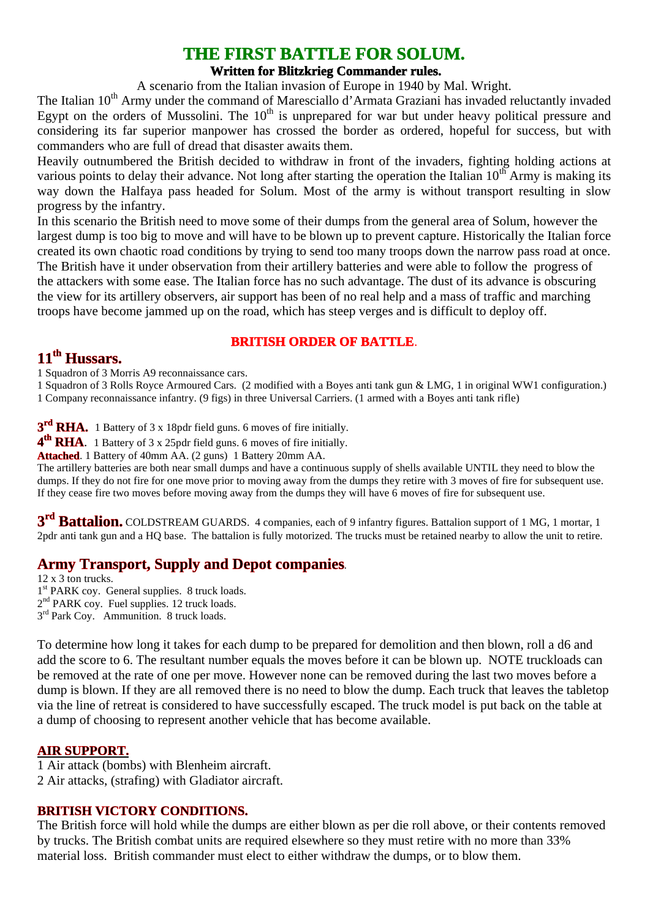# **THE FIRST BATTLE FOR SOLUM.**

#### **Written for Blitzkrieg Commander rules.**

A scenario from the Italian invasion of Europe in 1940 by Mal. Wright.

The Italian 10<sup>th</sup> Army under the command of Maresciallo d'Armata Graziani has invaded reluctantly invaded Egypt on the orders of Mussolini. The  $10<sup>th</sup>$  is unprepared for war but under heavy political pressure and considering its far superior manpower has crossed the border as ordered, hopeful for success, but with commanders who are full of dread that disaster awaits them.

Heavily outnumbered the British decided to withdraw in front of the invaders, fighting holding actions at various points to delay their advance. Not long after starting the operation the Italian  $10<sup>th</sup>$  Army is making its way down the Halfaya pass headed for Solum. Most of the army is without transport resulting in slow progress by the infantry.

In this scenario the British need to move some of their dumps from the general area of Solum, however the largest dump is too big to move and will have to be blown up to prevent capture. Historically the Italian force created its own chaotic road conditions by trying to send too many troops down the narrow pass road at once. The British have it under observation from their artillery batteries and were able to follow the progress of the attackers with some ease. The Italian force has no such advantage. The dust of its advance is obscuring the view for its artillery observers, air support has been of no real help and a mass of traffic and marching troops have become jammed up on the road, which has steep verges and is difficult to deploy off.

#### **BRITISH ORDER OF BATTLE**.

#### **11th Hussars.**

1 Squadron of 3 Morris A9 reconnaissance cars.

1 Squadron of 3 Rolls Royce Armoured Cars. (2 modified with a Boyes anti tank gun & LMG, 1 in original WW1 configuration.) 1 Company reconnaissance infantry. (9 figs) in three Universal Carriers. (1 armed with a Boyes anti tank rifle)

3<sup>rd</sup> RHA. 1 Battery of 3 x 18pdr field guns. 6 moves of fire initially.

**4<sup>th</sup> RHA**. 1 Battery of 3 x 25pdr field guns. 6 moves of fire initially.

**Attached**. 1 Battery of 40mm AA. (2 guns) 1 Battery 20mm AA.

The artillery batteries are both near small dumps and have a continuous supply of shells available UNTIL they need to blow the dumps. If they do not fire for one move prior to moving away from the dumps they retire with 3 moves of fire for subsequent use. If they cease fire two moves before moving away from the dumps they will have 6 moves of fire for subsequent use.

**3rd Battalion.** COLDSTREAM GUARDS. 4 companies, each of 9 infantry figures. Battalion support of 1 MG, 1 mortar, 1 2pdr anti tank gun and a HQ base. The battalion is fully motorized. The trucks must be retained nearby to allow the unit to retire.

## **Army Transport, Supply and Depot companies**.

12 x 3 ton trucks. 1<sup>st</sup> PARK coy. General supplies. 8 truck loads. 2<sup>nd</sup> PARK coy. Fuel supplies. 12 truck loads. 3<sup>rd</sup> Park Coy. Ammunition. 8 truck loads.

To determine how long it takes for each dump to be prepared for demolition and then blown, roll a d6 and add the score to 6. The resultant number equals the moves before it can be blown up. NOTE truckloads can be removed at the rate of one per move. However none can be removed during the last two moves before a dump is blown. If they are all removed there is no need to blow the dump. Each truck that leaves the tabletop via the line of retreat is considered to have successfully escaped. The truck model is put back on the table at a dump of choosing to represent another vehicle that has become available.

#### **AIR SUPPORT.**

1 Air attack (bombs) with Blenheim aircraft. 2 Air attacks, (strafing) with Gladiator aircraft.

#### **BRITISH VICTORY CONDITIONS.**

The British force will hold while the dumps are either blown as per die roll above, or their contents removed by trucks. The British combat units are required elsewhere so they must retire with no more than 33% material loss. British commander must elect to either withdraw the dumps, or to blow them.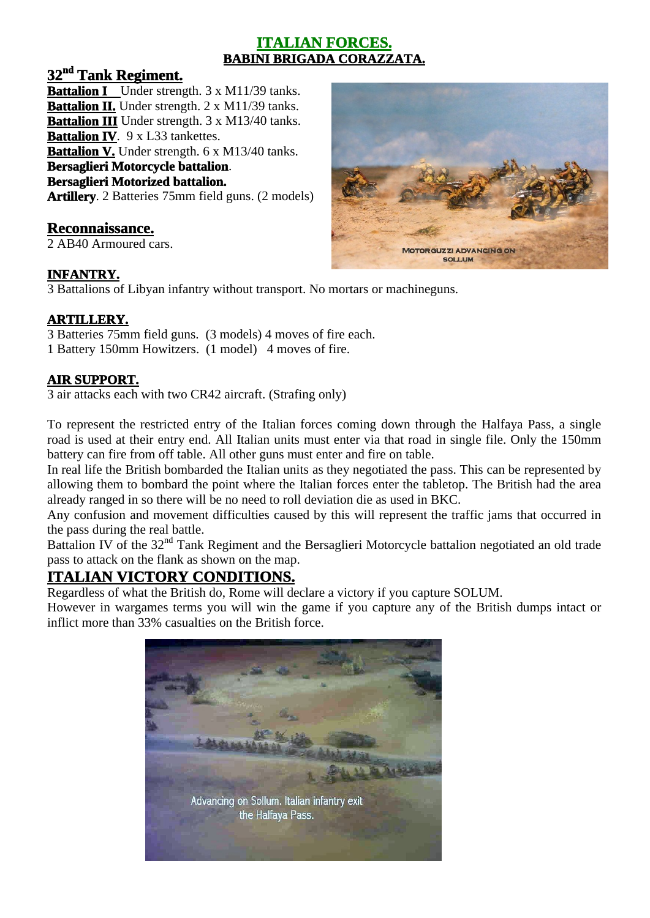## **ITALIAN FORCES. BABINI BRIGADA CORAZZATA.**

## **32nd Tank Regiment.**

**Battalion I** Under strength. 3 x M11/39 tanks. **Battalion II.** Under strength. 2 x M11/39 tanks. **Battalion III** Under strength. 3 x M13/40 tanks.

**Battalion IV**. 9 x L33 tankettes.

**Battalion V.** Under strength. 6 x M13/40 tanks.

#### **Bersaglieri Motorcycle battalion**.

#### **Bersaglieri Motorized battalion.**

**Artillery**. 2 Batteries 75mm field guns. (2 models)

## **Reconnaissance.**

2 AB40 Armoured cars.

# **MOTORGUZZI ADVANCING ON SOLLUM**

#### **INFANTRY.**

3 Battalions of Libyan infantry without transport. No mortars or machineguns.

## **ARTILLERY.**

3 Batteries 75mm field guns. (3 models) 4 moves of fire each. 1 Battery 150mm Howitzers. (1 model) 4 moves of fire.

## **AIR SUPPORT.**

3 air attacks each with two CR42 aircraft. (Strafing only)

To represent the restricted entry of the Italian forces coming down through the Halfaya Pass, a single road is used at their entry end. All Italian units must enter via that road in single file. Only the 150mm battery can fire from off table. All other guns must enter and fire on table.

In real life the British bombarded the Italian units as they negotiated the pass. This can be represented by allowing them to bombard the point where the Italian forces enter the tabletop. The British had the area already ranged in so there will be no need to roll deviation die as used in BKC.

Any confusion and movement difficulties caused by this will represent the traffic jams that occurred in the pass during the real battle.

Battalion IV of the 32<sup>nd</sup> Tank Regiment and the Bersaglieri Motorcycle battalion negotiated an old trade pass to attack on the flank as shown on the map.

## **ITALIAN VICTORY CONDITIONS.**

Regardless of what the British do, Rome will declare a victory if you capture SOLUM.

However in wargames terms you will win the game if you capture any of the British dumps intact or inflict more than 33% casualties on the British force.

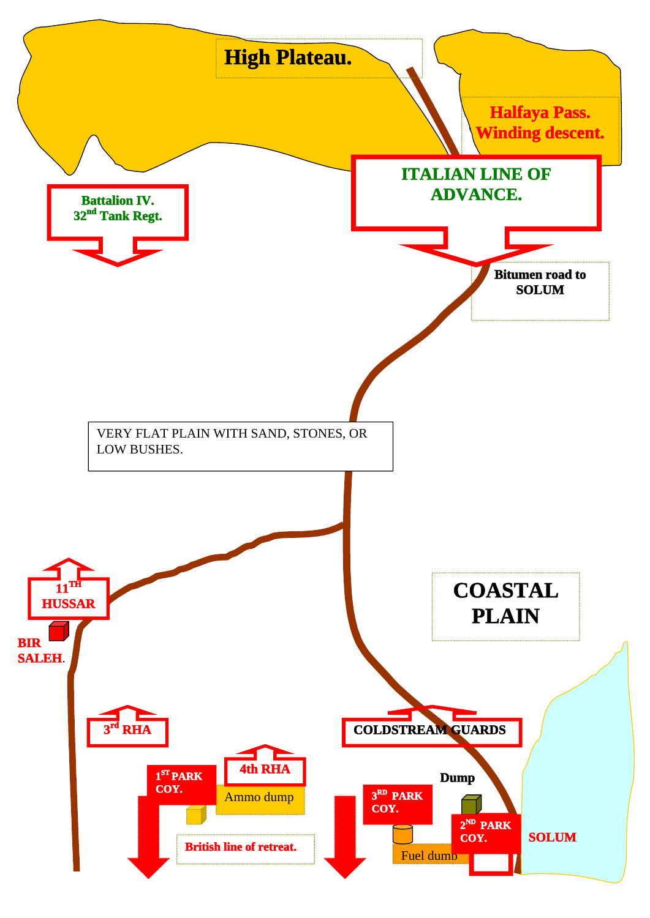